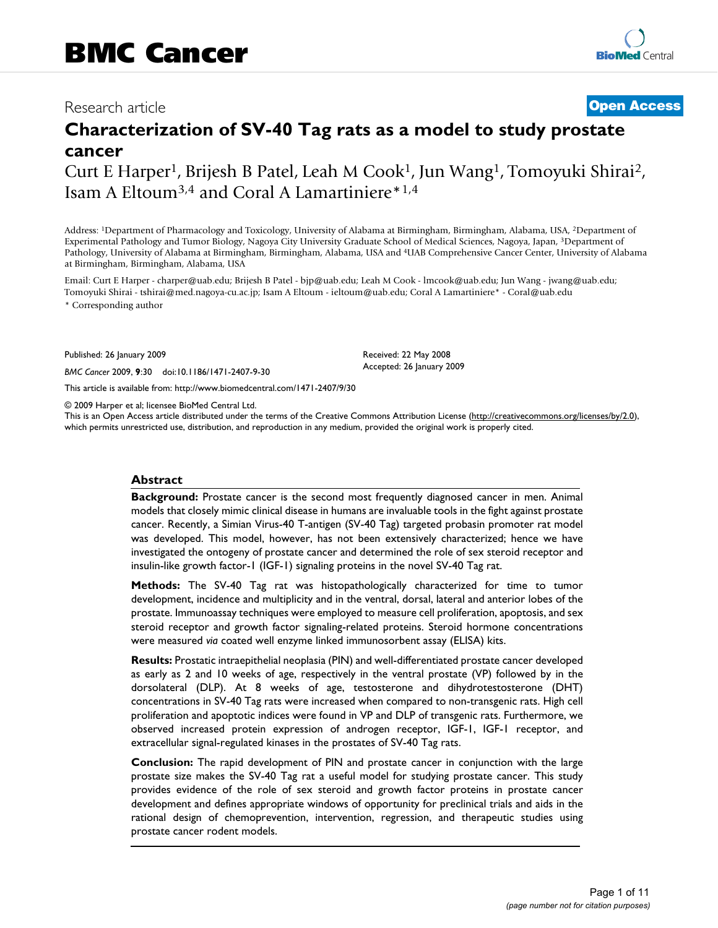## Research article **[Open Access](http://www.biomedcentral.com/info/about/charter/)**

# **Characterization of SV-40 Tag rats as a model to study prostate cancer**

Curt E Harper1, Brijesh B Patel, Leah M Cook1, Jun Wang1, Tomoyuki Shirai2, Isam A Eltoum3,4 and Coral A Lamartiniere\*1,4

Address: 1Department of Pharmacology and Toxicology, University of Alabama at Birmingham, Birmingham, Alabama, USA, 2Department of Experimental Pathology and Tumor Biology, Nagoya City University Graduate School of Medical Sciences, Nagoya, Japan, 3Department of Pathology, University of Alabama at Birmingham, Birmingham, Alabama, USA and 4UAB Comprehensive Cancer Center, University of Alabama at Birmingham, Birmingham, Alabama, USA

Email: Curt E Harper - charper@uab.edu; Brijesh B Patel - bjp@uab.edu; Leah M Cook - lmcook@uab.edu; Jun Wang - jwang@uab.edu; Tomoyuki Shirai - tshirai@med.nagoya-cu.ac.jp; Isam A Eltoum - ieltoum@uab.edu; Coral A Lamartiniere\* - Coral@uab.edu

\* Corresponding author

Published: 26 January 2009

*BMC Cancer* 2009, **9**:30 doi:10.1186/1471-2407-9-30

[This article is available from: http://www.biomedcentral.com/1471-2407/9/30](http://www.biomedcentral.com/1471-2407/9/30)

© 2009 Harper et al; licensee BioMed Central Ltd.

This is an Open Access article distributed under the terms of the Creative Commons Attribution License [\(http://creativecommons.org/licenses/by/2.0\)](http://creativecommons.org/licenses/by/2.0), which permits unrestricted use, distribution, and reproduction in any medium, provided the original work is properly cited.

Received: 22 May 2008 Accepted: 26 January 2009

#### **Abstract**

**Background:** Prostate cancer is the second most frequently diagnosed cancer in men. Animal models that closely mimic clinical disease in humans are invaluable tools in the fight against prostate cancer. Recently, a Simian Virus-40 T-antigen (SV-40 Tag) targeted probasin promoter rat model was developed. This model, however, has not been extensively characterized; hence we have investigated the ontogeny of prostate cancer and determined the role of sex steroid receptor and insulin-like growth factor-1 (IGF-1) signaling proteins in the novel SV-40 Tag rat.

**Methods:** The SV-40 Tag rat was histopathologically characterized for time to tumor development, incidence and multiplicity and in the ventral, dorsal, lateral and anterior lobes of the prostate. Immunoassay techniques were employed to measure cell proliferation, apoptosis, and sex steroid receptor and growth factor signaling-related proteins. Steroid hormone concentrations were measured *via* coated well enzyme linked immunosorbent assay (ELISA) kits.

**Results:** Prostatic intraepithelial neoplasia (PIN) and well-differentiated prostate cancer developed as early as 2 and 10 weeks of age, respectively in the ventral prostate (VP) followed by in the dorsolateral (DLP). At 8 weeks of age, testosterone and dihydrotestosterone (DHT) concentrations in SV-40 Tag rats were increased when compared to non-transgenic rats. High cell proliferation and apoptotic indices were found in VP and DLP of transgenic rats. Furthermore, we observed increased protein expression of androgen receptor, IGF-1, IGF-1 receptor, and extracellular signal-regulated kinases in the prostates of SV-40 Tag rats.

**Conclusion:** The rapid development of PIN and prostate cancer in conjunction with the large prostate size makes the SV-40 Tag rat a useful model for studying prostate cancer. This study provides evidence of the role of sex steroid and growth factor proteins in prostate cancer development and defines appropriate windows of opportunity for preclinical trials and aids in the rational design of chemoprevention, intervention, regression, and therapeutic studies using prostate cancer rodent models.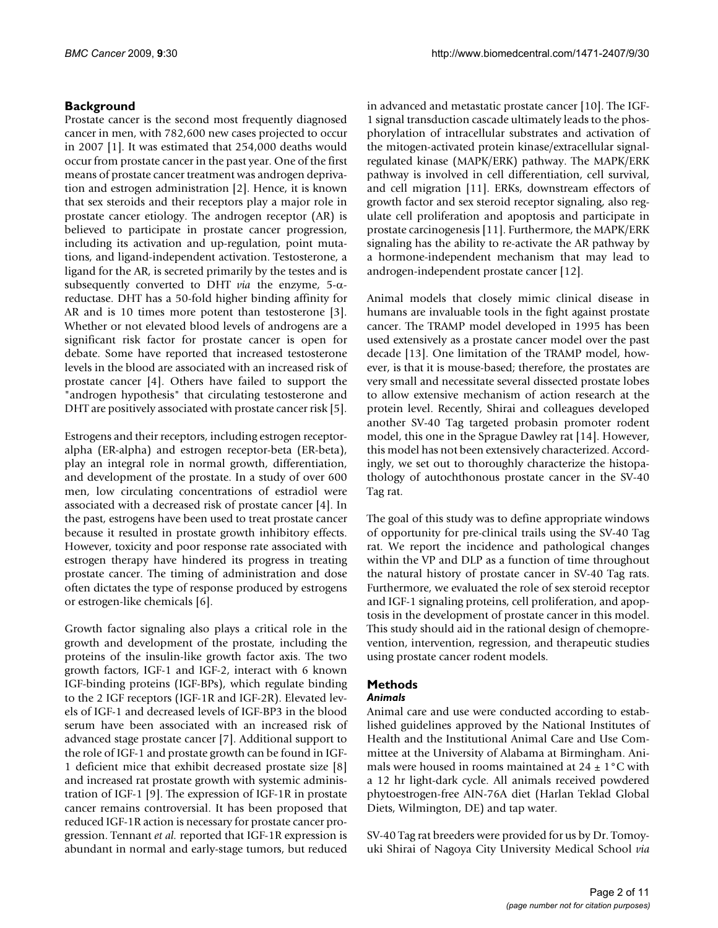## **Background**

Prostate cancer is the second most frequently diagnosed cancer in men, with 782,600 new cases projected to occur in 2007 [1]. It was estimated that 254,000 deaths would occur from prostate cancer in the past year. One of the first means of prostate cancer treatment was androgen deprivation and estrogen administration [2]. Hence, it is known that sex steroids and their receptors play a major role in prostate cancer etiology. The androgen receptor (AR) is believed to participate in prostate cancer progression, including its activation and up-regulation, point mutations, and ligand-independent activation. Testosterone, a ligand for the AR, is secreted primarily by the testes and is subsequently converted to DHT *via* the enzyme, 5-αreductase. DHT has a 50-fold higher binding affinity for AR and is 10 times more potent than testosterone [3]. Whether or not elevated blood levels of androgens are a significant risk factor for prostate cancer is open for debate. Some have reported that increased testosterone levels in the blood are associated with an increased risk of prostate cancer [4]. Others have failed to support the "androgen hypothesis" that circulating testosterone and DHT are positively associated with prostate cancer risk [5].

Estrogens and their receptors, including estrogen receptoralpha (ER-alpha) and estrogen receptor-beta (ER-beta), play an integral role in normal growth, differentiation, and development of the prostate. In a study of over 600 men, low circulating concentrations of estradiol were associated with a decreased risk of prostate cancer [4]. In the past, estrogens have been used to treat prostate cancer because it resulted in prostate growth inhibitory effects. However, toxicity and poor response rate associated with estrogen therapy have hindered its progress in treating prostate cancer. The timing of administration and dose often dictates the type of response produced by estrogens or estrogen-like chemicals [6].

Growth factor signaling also plays a critical role in the growth and development of the prostate, including the proteins of the insulin-like growth factor axis. The two growth factors, IGF-1 and IGF-2, interact with 6 known IGF-binding proteins (IGF-BPs), which regulate binding to the 2 IGF receptors (IGF-1R and IGF-2R). Elevated levels of IGF-1 and decreased levels of IGF-BP3 in the blood serum have been associated with an increased risk of advanced stage prostate cancer [7]. Additional support to the role of IGF-1 and prostate growth can be found in IGF-1 deficient mice that exhibit decreased prostate size [8] and increased rat prostate growth with systemic administration of IGF-1 [9]. The expression of IGF-1R in prostate cancer remains controversial. It has been proposed that reduced IGF-1R action is necessary for prostate cancer progression. Tennant *et al.* reported that IGF-1R expression is abundant in normal and early-stage tumors, but reduced

in advanced and metastatic prostate cancer [10]. The IGF-1 signal transduction cascade ultimately leads to the phosphorylation of intracellular substrates and activation of the mitogen-activated protein kinase/extracellular signalregulated kinase (MAPK/ERK) pathway. The MAPK/ERK pathway is involved in cell differentiation, cell survival, and cell migration [11]. ERKs, downstream effectors of growth factor and sex steroid receptor signaling, also regulate cell proliferation and apoptosis and participate in prostate carcinogenesis [11]. Furthermore, the MAPK/ERK signaling has the ability to re-activate the AR pathway by a hormone-independent mechanism that may lead to androgen-independent prostate cancer [12].

Animal models that closely mimic clinical disease in humans are invaluable tools in the fight against prostate cancer. The TRAMP model developed in 1995 has been used extensively as a prostate cancer model over the past decade [13]. One limitation of the TRAMP model, however, is that it is mouse-based; therefore, the prostates are very small and necessitate several dissected prostate lobes to allow extensive mechanism of action research at the protein level. Recently, Shirai and colleagues developed another SV-40 Tag targeted probasin promoter rodent model, this one in the Sprague Dawley rat [14]. However, this model has not been extensively characterized. Accordingly, we set out to thoroughly characterize the histopathology of autochthonous prostate cancer in the SV-40 Tag rat.

The goal of this study was to define appropriate windows of opportunity for pre-clinical trails using the SV-40 Tag rat. We report the incidence and pathological changes within the VP and DLP as a function of time throughout the natural history of prostate cancer in SV-40 Tag rats. Furthermore, we evaluated the role of sex steroid receptor and IGF-1 signaling proteins, cell proliferation, and apoptosis in the development of prostate cancer in this model. This study should aid in the rational design of chemoprevention, intervention, regression, and therapeutic studies using prostate cancer rodent models.

## **Methods**

## *Animals*

Animal care and use were conducted according to established guidelines approved by the National Institutes of Health and the Institutional Animal Care and Use Committee at the University of Alabama at Birmingham. Animals were housed in rooms maintained at  $24 \pm 1$  °C with a 12 hr light-dark cycle. All animals received powdered phytoestrogen-free AIN-76A diet (Harlan Teklad Global Diets, Wilmington, DE) and tap water.

SV-40 Tag rat breeders were provided for us by Dr. Tomoyuki Shirai of Nagoya City University Medical School *via*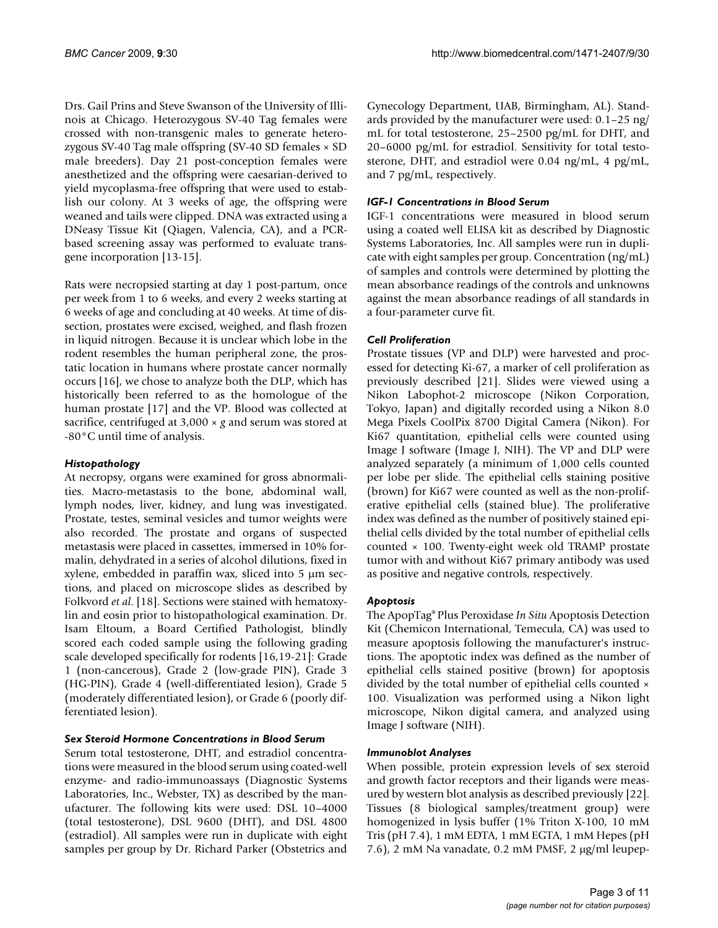Drs. Gail Prins and Steve Swanson of the University of Illinois at Chicago. Heterozygous SV-40 Tag females were crossed with non-transgenic males to generate heterozygous SV-40 Tag male offspring (SV-40 SD females × SD male breeders). Day 21 post-conception females were anesthetized and the offspring were caesarian-derived to yield mycoplasma-free offspring that were used to establish our colony. At 3 weeks of age, the offspring were weaned and tails were clipped. DNA was extracted using a DNeasy Tissue Kit (Qiagen, Valencia, CA), and a PCRbased screening assay was performed to evaluate transgene incorporation [13-15].

Rats were necropsied starting at day 1 post-partum, once per week from 1 to 6 weeks, and every 2 weeks starting at 6 weeks of age and concluding at 40 weeks. At time of dissection, prostates were excised, weighed, and flash frozen in liquid nitrogen. Because it is unclear which lobe in the rodent resembles the human peripheral zone, the prostatic location in humans where prostate cancer normally occurs [16], we chose to analyze both the DLP, which has historically been referred to as the homologue of the human prostate [17] and the VP. Blood was collected at sacrifice, centrifuged at 3,000 × *g* and serum was stored at -80°C until time of analysis.

## *Histopathology*

At necropsy, organs were examined for gross abnormalities. Macro-metastasis to the bone, abdominal wall, lymph nodes, liver, kidney, and lung was investigated. Prostate, testes, seminal vesicles and tumor weights were also recorded. The prostate and organs of suspected metastasis were placed in cassettes, immersed in 10% formalin, dehydrated in a series of alcohol dilutions, fixed in xylene, embedded in paraffin wax, sliced into 5 μm sections, and placed on microscope slides as described by Folkvord *et al*. [18]. Sections were stained with hematoxylin and eosin prior to histopathological examination. Dr. Isam Eltoum, a Board Certified Pathologist, blindly scored each coded sample using the following grading scale developed specifically for rodents [16,19-21]: Grade 1 (non-cancerous), Grade 2 (low-grade PIN), Grade 3 (HG-PIN), Grade 4 (well-differentiated lesion), Grade 5 (moderately differentiated lesion), or Grade 6 (poorly differentiated lesion).

## *Sex Steroid Hormone Concentrations in Blood Serum*

Serum total testosterone, DHT, and estradiol concentrations were measured in the blood serum using coated-well enzyme- and radio-immunoassays (Diagnostic Systems Laboratories, Inc., Webster, TX) as described by the manufacturer. The following kits were used: DSL 10–4000 (total testosterone), DSL 9600 (DHT), and DSL 4800 (estradiol). All samples were run in duplicate with eight samples per group by Dr. Richard Parker (Obstetrics and

Gynecology Department, UAB, Birmingham, AL). Standards provided by the manufacturer were used: 0.1–25 ng/ mL for total testosterone, 25–2500 pg/mL for DHT, and 20–6000 pg/mL for estradiol. Sensitivity for total testosterone, DHT, and estradiol were 0.04 ng/mL, 4 pg/mL, and 7 pg/mL, respectively.

## *IGF-1 Concentrations in Blood Serum*

IGF-1 concentrations were measured in blood serum using a coated well ELISA kit as described by Diagnostic Systems Laboratories, Inc. All samples were run in duplicate with eight samples per group. Concentration (ng/mL) of samples and controls were determined by plotting the mean absorbance readings of the controls and unknowns against the mean absorbance readings of all standards in a four-parameter curve fit.

## *Cell Proliferation*

Prostate tissues (VP and DLP) were harvested and processed for detecting Ki-67, a marker of cell proliferation as previously described [21]. Slides were viewed using a Nikon Labophot-2 microscope (Nikon Corporation, Tokyo, Japan) and digitally recorded using a Nikon 8.0 Mega Pixels CoolPix 8700 Digital Camera (Nikon). For Ki67 quantitation, epithelial cells were counted using Image J software (Image J, NIH). The VP and DLP were analyzed separately (a minimum of 1,000 cells counted per lobe per slide. The epithelial cells staining positive (brown) for Ki67 were counted as well as the non-proliferative epithelial cells (stained blue). The proliferative index was defined as the number of positively stained epithelial cells divided by the total number of epithelial cells counted × 100. Twenty-eight week old TRAMP prostate tumor with and without Ki67 primary antibody was used as positive and negative controls, respectively.

## *Apoptosis*

The ApopTag® Plus Peroxidase *In Situ* Apoptosis Detection Kit (Chemicon International, Temecula, CA) was used to measure apoptosis following the manufacturer's instructions. The apoptotic index was defined as the number of epithelial cells stained positive (brown) for apoptosis divided by the total number of epithelial cells counted × 100. Visualization was performed using a Nikon light microscope, Nikon digital camera, and analyzed using Image J software (NIH).

## *Immunoblot Analyses*

When possible, protein expression levels of sex steroid and growth factor receptors and their ligands were measured by western blot analysis as described previously [22]. Tissues (8 biological samples/treatment group) were homogenized in lysis buffer (1% Triton X-100, 10 mM Tris (pH 7.4), 1 mM EDTA, 1 mM EGTA, 1 mM Hepes (pH 7.6), 2 mM Na vanadate, 0.2 mM PMSF, 2 μg/ml leupep-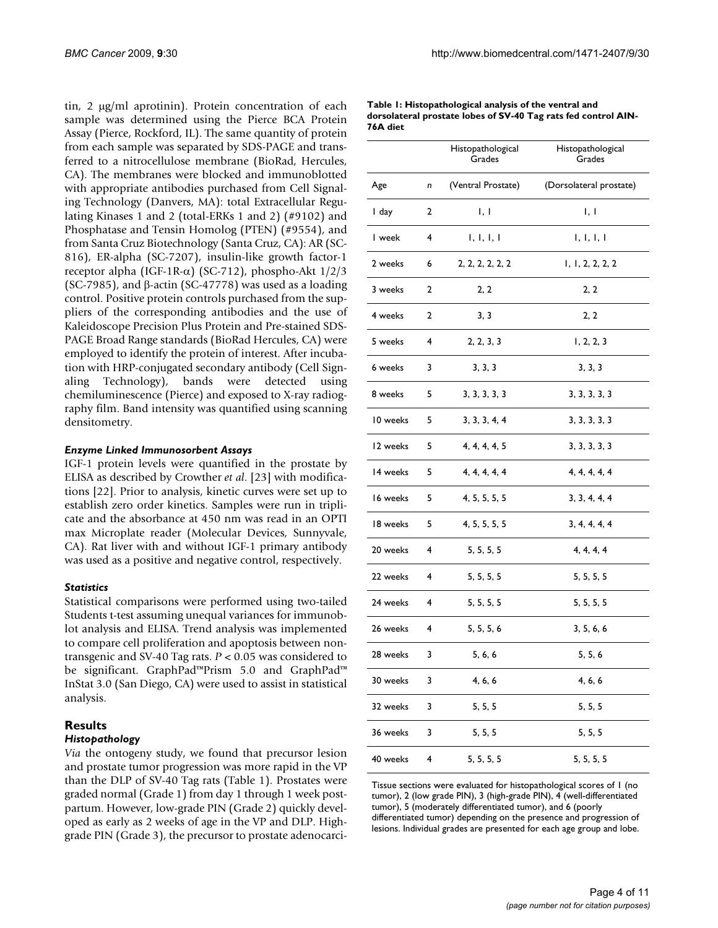tin, 2 μg/ml aprotinin). Protein concentration of each sample was determined using the Pierce BCA Protein Assay (Pierce, Rockford, IL). The same quantity of protein from each sample was separated by SDS-PAGE and transferred to a nitrocellulose membrane (BioRad, Hercules, CA). The membranes were blocked and immunoblotted with appropriate antibodies purchased from Cell Signaling Technology (Danvers, MA): total Extracellular Regulating Kinases 1 and 2 (total-ERKs 1 and 2) (#9102) and Phosphatase and Tensin Homolog (PTEN) (#9554), and from Santa Cruz Biotechnology (Santa Cruz, CA): AR (SC-816), ER-alpha (SC-7207), insulin-like growth factor-1 receptor alpha (IGF-1R-α) (SC-712), phospho-Akt 1/2/3 (SC-7985), and  $\beta$ -actin (SC-47778) was used as a loading control. Positive protein controls purchased from the suppliers of the corresponding antibodies and the use of Kaleidoscope Precision Plus Protein and Pre-stained SDS-PAGE Broad Range standards (BioRad Hercules, CA) were employed to identify the protein of interest. After incubation with HRP-conjugated secondary antibody (Cell Signaling Technology), bands were detected using chemiluminescence (Pierce) and exposed to X-ray radiography film. Band intensity was quantified using scanning densitometry.

#### *Enzyme Linked Immunosorbent Assays*

IGF-1 protein levels were quantified in the prostate by ELISA as described by Crowther *et al*. [23] with modifications [22]. Prior to analysis, kinetic curves were set up to establish zero order kinetics. Samples were run in triplicate and the absorbance at 450 nm was read in an OPTI max Microplate reader (Molecular Devices, Sunnyvale, CA). Rat liver with and without IGF-1 primary antibody was used as a positive and negative control, respectively.

#### *Statistics*

Statistical comparisons were performed using two-tailed Students t-test assuming unequal variances for immunoblot analysis and ELISA. Trend analysis was implemented to compare cell proliferation and apoptosis between nontransgenic and SV-40 Tag rats. *P* < 0.05 was considered to be significant. GraphPad™Prism 5.0 and GraphPad™ InStat 3.0 (San Diego, CA) were used to assist in statistical analysis.

## **Results**

#### *Histopathology*

*Via* the ontogeny study, we found that precursor lesion and prostate tumor progression was more rapid in the VP than the DLP of SV-40 Tag rats (Table 1). Prostates were graded normal (Grade 1) from day 1 through 1 week postpartum. However, low-grade PIN (Grade 2) quickly developed as early as 2 weeks of age in the VP and DLP. Highgrade PIN (Grade 3), the precursor to prostate adenocarci-

| Table 1: Histopathological analysis of the ventral and         |
|----------------------------------------------------------------|
| dorsolateral prostate lobes of SV-40 Tag rats fed control AIN- |
| 76A diet                                                       |

|          |   | Histopathological<br>Grades | Histopathological<br>Grades |  |
|----------|---|-----------------------------|-----------------------------|--|
| Age      | n | (Ventral Prostate)          | (Dorsolateral prostate)     |  |
| I day    | 2 | l, l                        | 1, 1                        |  |
| I week   | 4 | 1, 1, 1, 1                  | 1, 1, 1, 1                  |  |
| 2 weeks  | 6 | 2, 2, 2, 2, 2, 2            | 1, 1, 2, 2, 2, 2            |  |
| 3 weeks  | 2 | 2, 2                        | 2, 2                        |  |
| 4 weeks  | 2 | 3, 3                        | 2, 2                        |  |
| 5 weeks  | 4 | 2, 2, 3, 3                  | 1, 2, 2, 3                  |  |
| 6 weeks  | 3 | 3, 3, 3                     | 3, 3, 3                     |  |
| 8 weeks  | 5 | 3, 3, 3, 3, 3               | 3, 3, 3, 3, 3               |  |
| 10 weeks | 5 | 3, 3, 3, 4, 4               | 3, 3, 3, 3, 3               |  |
| 12 weeks | 5 | 4, 4, 4, 4, 5               | 3, 3, 3, 3, 3               |  |
| 14 weeks | 5 | 4, 4, 4, 4, 4               | 4, 4, 4, 4, 4               |  |
| 16 weeks | 5 | 4, 5, 5, 5, 5               | 3, 3, 4, 4, 4               |  |
| 18 weeks | 5 | 4, 5, 5, 5, 5               | 3, 4, 4, 4, 4               |  |
| 20 weeks | 4 | 5, 5, 5, 5                  | 4, 4, 4, 4                  |  |
| 22 weeks | 4 | 5, 5, 5, 5                  | 5, 5, 5, 5                  |  |
| 24 weeks | 4 | 5, 5, 5, 5                  | 5, 5, 5, 5                  |  |
| 26 weeks | 4 | 5, 5, 5, 6                  | 3, 5, 6, 6                  |  |
| 28 weeks | 3 | 5, 6, 6                     | 5, 5, 6                     |  |
| 30 weeks | 3 | 4, 6, 6                     | 4, 6, 6                     |  |
| 32 weeks | 3 | 5, 5, 5                     | 5, 5, 5                     |  |
| 36 weeks | з | 5, 5, 5                     | 5, 5, 5                     |  |
| 40 weeks | 4 | 5, 5, 5, 5                  | 5, 5, 5, 5                  |  |

Tissue sections were evaluated for histopathological scores of 1 (no tumor), 2 (low grade PIN), 3 (high-grade PIN), 4 (well-differentiated tumor), 5 (moderately differentiated tumor), and 6 (poorly differentiated tumor) depending on the presence and progression of lesions. Individual grades are presented for each age group and lobe.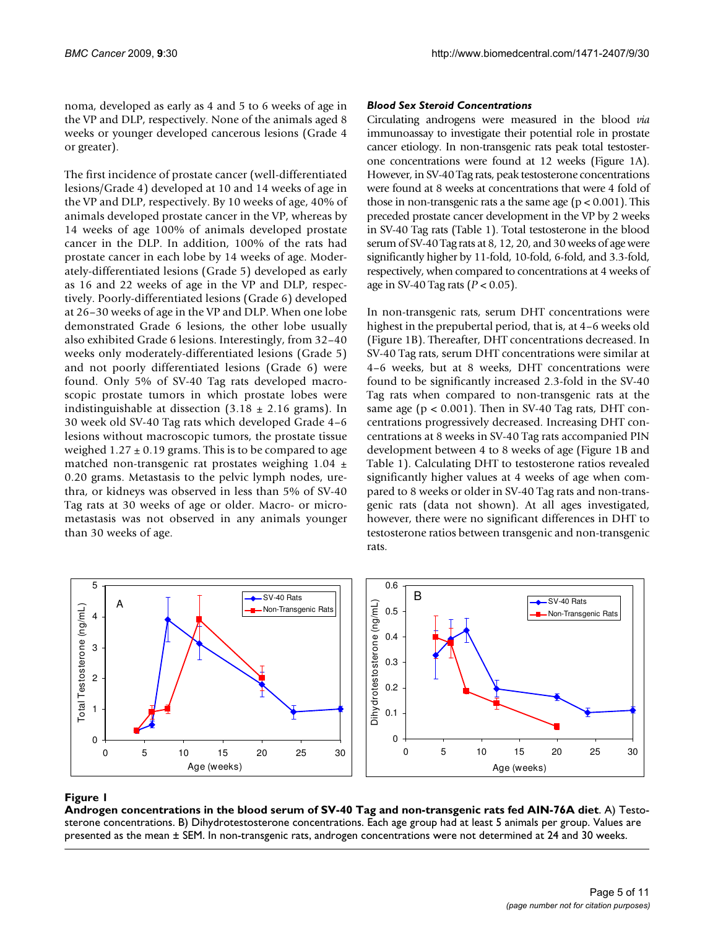noma, developed as early as 4 and 5 to 6 weeks of age in the VP and DLP, respectively. None of the animals aged 8 weeks or younger developed cancerous lesions (Grade 4 or greater).

The first incidence of prostate cancer (well-differentiated lesions/Grade 4) developed at 10 and 14 weeks of age in the VP and DLP, respectively. By 10 weeks of age, 40% of animals developed prostate cancer in the VP, whereas by 14 weeks of age 100% of animals developed prostate cancer in the DLP. In addition, 100% of the rats had prostate cancer in each lobe by 14 weeks of age. Moderately-differentiated lesions (Grade 5) developed as early as 16 and 22 weeks of age in the VP and DLP, respectively. Poorly-differentiated lesions (Grade 6) developed at 26–30 weeks of age in the VP and DLP. When one lobe demonstrated Grade 6 lesions, the other lobe usually also exhibited Grade 6 lesions. Interestingly, from 32–40 weeks only moderately-differentiated lesions (Grade 5) and not poorly differentiated lesions (Grade 6) were found. Only 5% of SV-40 Tag rats developed macroscopic prostate tumors in which prostate lobes were indistinguishable at dissection  $(3.18 \pm 2.16 \text{ grams})$ . In 30 week old SV-40 Tag rats which developed Grade 4–6 lesions without macroscopic tumors, the prostate tissue weighed  $1.27 \pm 0.19$  grams. This is to be compared to age matched non-transgenic rat prostates weighing 1.04 ± 0.20 grams. Metastasis to the pelvic lymph nodes, urethra, or kidneys was observed in less than 5% of SV-40 Tag rats at 30 weeks of age or older. Macro- or micrometastasis was not observed in any animals younger than 30 weeks of age.

## *Blood Sex Steroid Concentrations*

Circulating androgens were measured in the blood *via* immunoassay to investigate their potential role in prostate cancer etiology. In non-transgenic rats peak total testosterone concentrations were found at 12 weeks (Figure 1A). However, in SV-40 Tag rats, peak testosterone concentrations were found at 8 weeks at concentrations that were 4 fold of those in non-transgenic rats a the same age ( $p < 0.001$ ). This preceded prostate cancer development in the VP by 2 weeks in SV-40 Tag rats (Table 1). Total testosterone in the blood serum of SV-40 Tag rats at 8, 12, 20, and 30 weeks of age were significantly higher by 11-fold, 10-fold, 6-fold, and 3.3-fold, respectively, when compared to concentrations at 4 weeks of age in SV-40 Tag rats (*P* < 0.05).

In non-transgenic rats, serum DHT concentrations were highest in the prepubertal period, that is, at 4–6 weeks old (Figure 1B). Thereafter, DHT concentrations decreased. In SV-40 Tag rats, serum DHT concentrations were similar at 4–6 weeks, but at 8 weeks, DHT concentrations were found to be significantly increased 2.3-fold in the SV-40 Tag rats when compared to non-transgenic rats at the same age ( $p < 0.001$ ). Then in SV-40 Tag rats, DHT concentrations progressively decreased. Increasing DHT concentrations at 8 weeks in SV-40 Tag rats accompanied PIN development between 4 to 8 weeks of age (Figure 1B and Table 1). Calculating DHT to testosterone ratios revealed significantly higher values at 4 weeks of age when compared to 8 weeks or older in SV-40 Tag rats and non-transgenic rats (data not shown). At all ages investigated, however, there were no significant differences in DHT to testosterone ratios between transgenic and non-transgenic rats.



## **Figure 1** Androgen concentrations in the blood serum of SV-40 Tag and non-transgenic rats fed AIN-76A diet

**Androgen concentrations in the blood serum of SV-40 Tag and non-transgenic rats fed AIN-76A diet**. A) Testosterone concentrations. B) Dihydrotestosterone concentrations. Each age group had at least 5 animals per group. Values are presented as the mean ± SEM. In non-transgenic rats, androgen concentrations were not determined at 24 and 30 weeks.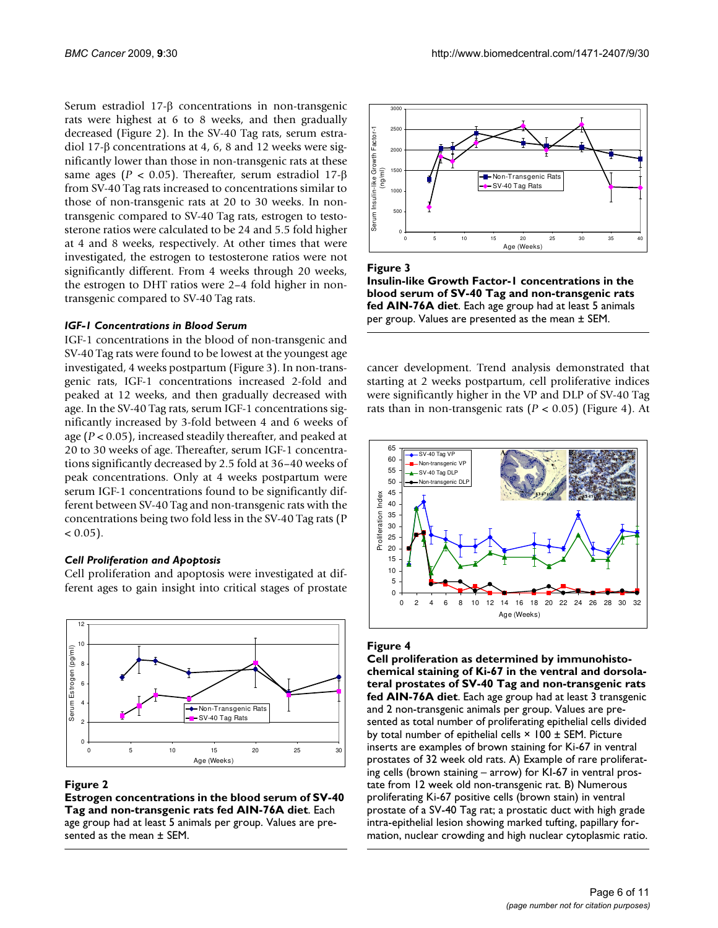Serum estradiol 17-β concentrations in non-transgenic rats were highest at 6 to 8 weeks, and then gradually decreased (Figure 2). In the SV-40 Tag rats, serum estradiol 17-β concentrations at 4, 6, 8 and 12 weeks were significantly lower than those in non-transgenic rats at these same ages (*P* < 0.05). Thereafter, serum estradiol 17-β from SV-40 Tag rats increased to concentrations similar to those of non-transgenic rats at 20 to 30 weeks. In nontransgenic compared to SV-40 Tag rats, estrogen to testosterone ratios were calculated to be 24 and 5.5 fold higher at 4 and 8 weeks, respectively. At other times that were investigated, the estrogen to testosterone ratios were not significantly different. From 4 weeks through 20 weeks, the estrogen to DHT ratios were 2–4 fold higher in nontransgenic compared to SV-40 Tag rats.

## *IGF-1 Concentrations in Blood Serum*

IGF-1 concentrations in the blood of non-transgenic and SV-40 Tag rats were found to be lowest at the youngest age investigated, 4 weeks postpartum (Figure 3). In non-transgenic rats, IGF-1 concentrations increased 2-fold and peaked at 12 weeks, and then gradually decreased with age. In the SV-40 Tag rats, serum IGF-1 concentrations significantly increased by 3-fold between 4 and 6 weeks of age (*P* < 0.05), increased steadily thereafter, and peaked at 20 to 30 weeks of age. Thereafter, serum IGF-1 concentrations significantly decreased by 2.5 fold at 36–40 weeks of peak concentrations. Only at 4 weeks postpartum were serum IGF-1 concentrations found to be significantly different between SV-40 Tag and non-transgenic rats with the concentrations being two fold less in the SV-40 Tag rats (P  $< 0.05$ ).

## *Cell Proliferation and Apoptosis*

Cell proliferation and apoptosis were investigated at different ages to gain insight into critical stages of prostate



## Figure 2

**Estrogen concentrations in the blood serum of SV-40 Tag and non-transgenic rats fed AIN-76A diet**. Each age group had at least 5 animals per group. Values are presented as the mean ± SEM.



Figure 3

**Insulin-like Growth Factor-1 concentrations in the blood serum of SV-40 Tag and non-transgenic rats fed AIN-76A diet**. Each age group had at least 5 animals per group. Values are presented as the mean ± SEM.

cancer development. Trend analysis demonstrated that starting at 2 weeks postpartum, cell proliferative indices were significantly higher in the VP and DLP of SV-40 Tag rats than in non-transgenic rats  $(P < 0.05)$  (Figure 4). At



## Figure 4

**Cell proliferation as determined by immunohistochemical staining of Ki-67 in the ventral and dorsolateral prostates of SV-40 Tag and non-transgenic rats fed AIN-76A diet**. Each age group had at least 3 transgenic and 2 non-transgenic animals per group. Values are presented as total number of proliferating epithelial cells divided by total number of epithelial cells  $\times$  100  $\pm$  SEM. Picture inserts are examples of brown staining for Ki-67 in ventral prostates of 32 week old rats. A) Example of rare proliferating cells (brown staining – arrow) for KI-67 in ventral prostate from 12 week old non-transgenic rat. B) Numerous proliferating Ki-67 positive cells (brown stain) in ventral prostate of a SV-40 Tag rat; a prostatic duct with high grade intra-epithelial lesion showing marked tufting, papillary formation, nuclear crowding and high nuclear cytoplasmic ratio.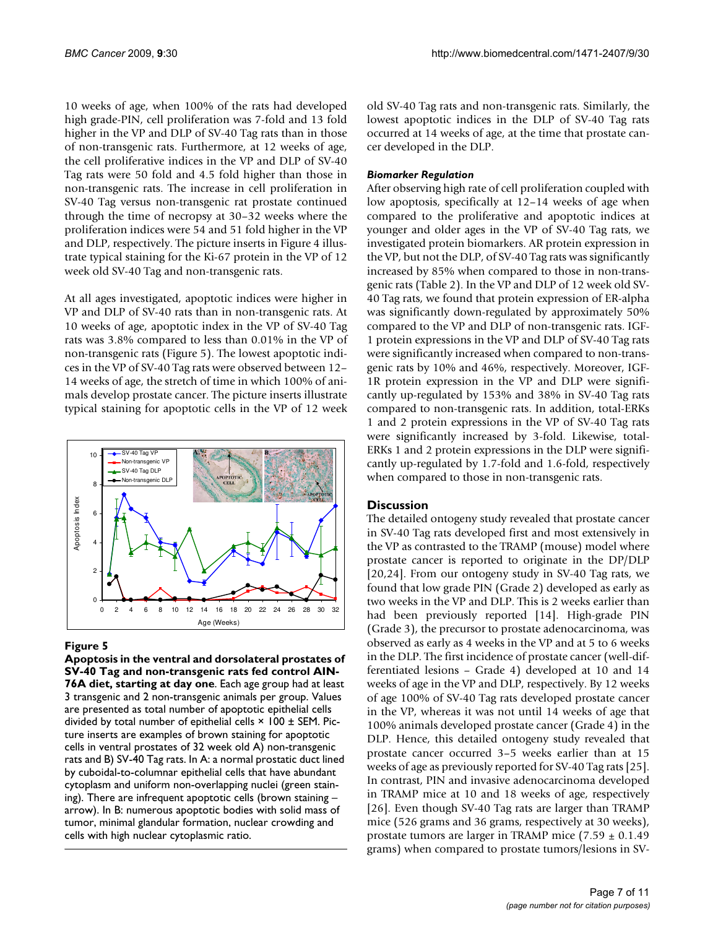10 weeks of age, when 100% of the rats had developed high grade-PIN, cell proliferation was 7-fold and 13 fold higher in the VP and DLP of SV-40 Tag rats than in those of non-transgenic rats. Furthermore, at 12 weeks of age, the cell proliferative indices in the VP and DLP of SV-40 Tag rats were 50 fold and 4.5 fold higher than those in non-transgenic rats. The increase in cell proliferation in SV-40 Tag versus non-transgenic rat prostate continued through the time of necropsy at 30–32 weeks where the proliferation indices were 54 and 51 fold higher in the VP and DLP, respectively. The picture inserts in Figure 4 illustrate typical staining for the Ki-67 protein in the VP of 12 week old SV-40 Tag and non-transgenic rats.

At all ages investigated, apoptotic indices were higher in VP and DLP of SV-40 rats than in non-transgenic rats. At 10 weeks of age, apoptotic index in the VP of SV-40 Tag rats was 3.8% compared to less than 0.01% in the VP of non-transgenic rats (Figure 5). The lowest apoptotic indices in the VP of SV-40 Tag rats were observed between 12– 14 weeks of age, the stretch of time in which 100% of animals develop prostate cancer. The picture inserts illustrate typical staining for apoptotic cells in the VP of 12 week



## Figure 5

**Apoptosis in the ventral and dorsolateral prostates of SV-40 Tag and non-transgenic rats fed control AIN-76A diet, starting at day one**. Each age group had at least 3 transgenic and 2 non-transgenic animals per group. Values are presented as total number of apoptotic epithelial cells divided by total number of epithelial cells  $\times$  100  $\pm$  SEM. Picture inserts are examples of brown staining for apoptotic cells in ventral prostates of 32 week old A) non-transgenic rats and B) SV-40 Tag rats. In A: a normal prostatic duct lined by cuboidal-to-columnar epithelial cells that have abundant cytoplasm and uniform non-overlapping nuclei (green staining). There are infrequent apoptotic cells (brown staining – arrow). In B: numerous apoptotic bodies with solid mass of tumor, minimal glandular formation, nuclear crowding and cells with high nuclear cytoplasmic ratio.

old SV-40 Tag rats and non-transgenic rats. Similarly, the lowest apoptotic indices in the DLP of SV-40 Tag rats occurred at 14 weeks of age, at the time that prostate cancer developed in the DLP.

## *Biomarker Regulation*

After observing high rate of cell proliferation coupled with low apoptosis, specifically at 12–14 weeks of age when compared to the proliferative and apoptotic indices at younger and older ages in the VP of SV-40 Tag rats, we investigated protein biomarkers. AR protein expression in the VP, but not the DLP, of SV-40 Tag rats was significantly increased by 85% when compared to those in non-transgenic rats (Table 2). In the VP and DLP of 12 week old SV-40 Tag rats, we found that protein expression of ER-alpha was significantly down-regulated by approximately 50% compared to the VP and DLP of non-transgenic rats. IGF-1 protein expressions in the VP and DLP of SV-40 Tag rats were significantly increased when compared to non-transgenic rats by 10% and 46%, respectively. Moreover, IGF-1R protein expression in the VP and DLP were significantly up-regulated by 153% and 38% in SV-40 Tag rats compared to non-transgenic rats. In addition, total-ERKs 1 and 2 protein expressions in the VP of SV-40 Tag rats were significantly increased by 3-fold. Likewise, total-ERKs 1 and 2 protein expressions in the DLP were significantly up-regulated by 1.7-fold and 1.6-fold, respectively when compared to those in non-transgenic rats.

## **Discussion**

The detailed ontogeny study revealed that prostate cancer in SV-40 Tag rats developed first and most extensively in the VP as contrasted to the TRAMP (mouse) model where prostate cancer is reported to originate in the DP/DLP [20,24]. From our ontogeny study in SV-40 Tag rats, we found that low grade PIN (Grade 2) developed as early as two weeks in the VP and DLP. This is 2 weeks earlier than had been previously reported [14]. High-grade PIN (Grade 3), the precursor to prostate adenocarcinoma, was observed as early as 4 weeks in the VP and at 5 to 6 weeks in the DLP. The first incidence of prostate cancer (well-differentiated lesions – Grade 4) developed at 10 and 14 weeks of age in the VP and DLP, respectively. By 12 weeks of age 100% of SV-40 Tag rats developed prostate cancer in the VP, whereas it was not until 14 weeks of age that 100% animals developed prostate cancer (Grade 4) in the DLP. Hence, this detailed ontogeny study revealed that prostate cancer occurred 3–5 weeks earlier than at 15 weeks of age as previously reported for SV-40 Tag rats [25]. In contrast, PIN and invasive adenocarcinoma developed in TRAMP mice at 10 and 18 weeks of age, respectively [26]. Even though SV-40 Tag rats are larger than TRAMP mice (526 grams and 36 grams, respectively at 30 weeks), prostate tumors are larger in TRAMP mice  $(7.59 \pm 0.1.49)$ grams) when compared to prostate tumors/lesions in SV-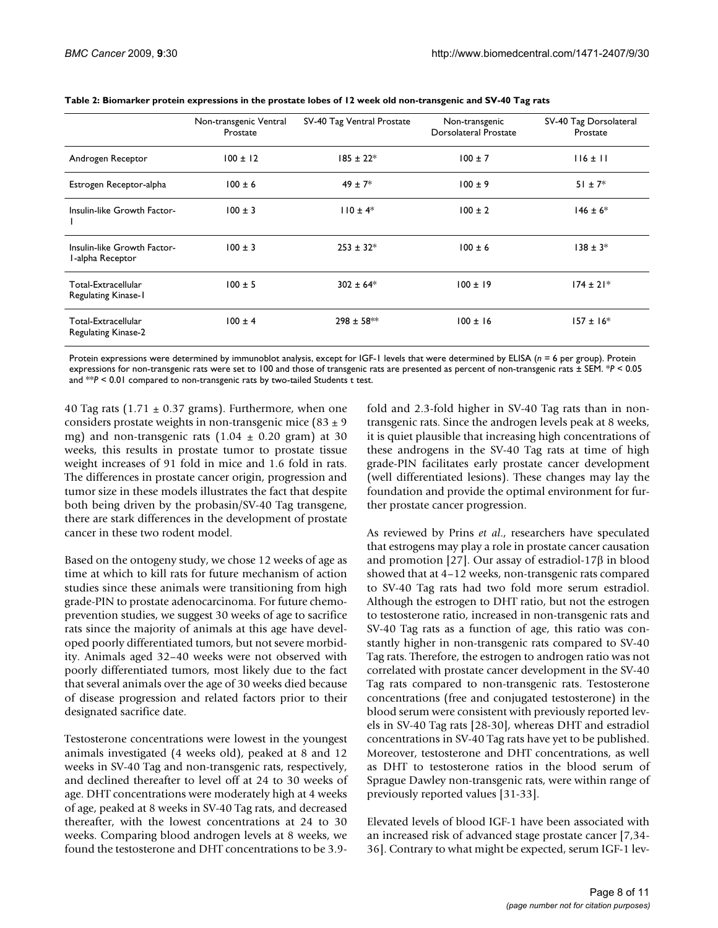|                                                   | Non-transgenic Ventral<br>Prostate | SV-40 Tag Ventral Prostate | Non-transgenic<br><b>Dorsolateral Prostate</b> | SV-40 Tag Dorsolateral<br>Prostate |
|---------------------------------------------------|------------------------------------|----------------------------|------------------------------------------------|------------------------------------|
| Androgen Receptor                                 | $100 \pm 12$                       | $185 \pm 22$ *             | $100 \pm 7$                                    | $116 \pm 11$                       |
| Estrogen Receptor-alpha                           | $100 \pm 6$                        | $49 \pm 7$ *               | $100 \pm 9$                                    | $51 \pm 7^*$                       |
| Insulin-like Growth Factor-                       | $100 \pm 3$                        | $110 \pm 4*$               | $100 \pm 2$                                    | $146 \pm 6*$                       |
| Insulin-like Growth Factor-<br>I-alpha Receptor   | $100 \pm 3$                        | $253 \pm 32*$              | $100 \pm 6$                                    | $138 \pm 3*$                       |
| Total-Extracellular<br><b>Regulating Kinase-I</b> | $100 \pm 5$                        | $302 \pm 64*$              | $100 \pm 19$                                   | $174 \pm 21*$                      |
| Total-Extracellular<br><b>Regulating Kinase-2</b> | $100 \pm 4$                        | $298 \pm 58$ **            | $100 \pm 16$                                   | $157 \pm 16*$                      |

**Table 2: Biomarker protein expressions in the prostate lobes of 12 week old non-transgenic and SV-40 Tag rats**

Protein expressions were determined by immunoblot analysis, except for IGF-1 levels that were determined by ELISA (*n* = 6 per group). Protein expressions for non-transgenic rats were set to 100 and those of transgenic rats are presented as percent of non-transgenic rats ± SEM. \**P* < 0.05 and \*\**P* < 0.01 compared to non-transgenic rats by two-tailed Students t test.

40 Tag rats ( $1.71 \pm 0.37$  grams). Furthermore, when one considers prostate weights in non-transgenic mice  $(83 \pm 9)$ mg) and non-transgenic rats  $(1.04 \pm 0.20 \text{ gram})$  at 30 weeks, this results in prostate tumor to prostate tissue weight increases of 91 fold in mice and 1.6 fold in rats. The differences in prostate cancer origin, progression and tumor size in these models illustrates the fact that despite both being driven by the probasin/SV-40 Tag transgene, there are stark differences in the development of prostate cancer in these two rodent model.

Based on the ontogeny study, we chose 12 weeks of age as time at which to kill rats for future mechanism of action studies since these animals were transitioning from high grade-PIN to prostate adenocarcinoma. For future chemoprevention studies, we suggest 30 weeks of age to sacrifice rats since the majority of animals at this age have developed poorly differentiated tumors, but not severe morbidity. Animals aged 32–40 weeks were not observed with poorly differentiated tumors, most likely due to the fact that several animals over the age of 30 weeks died because of disease progression and related factors prior to their designated sacrifice date.

Testosterone concentrations were lowest in the youngest animals investigated (4 weeks old), peaked at 8 and 12 weeks in SV-40 Tag and non-transgenic rats, respectively, and declined thereafter to level off at 24 to 30 weeks of age. DHT concentrations were moderately high at 4 weeks of age, peaked at 8 weeks in SV-40 Tag rats, and decreased thereafter, with the lowest concentrations at 24 to 30 weeks. Comparing blood androgen levels at 8 weeks, we found the testosterone and DHT concentrations to be 3.9fold and 2.3-fold higher in SV-40 Tag rats than in nontransgenic rats. Since the androgen levels peak at 8 weeks, it is quiet plausible that increasing high concentrations of these androgens in the SV-40 Tag rats at time of high grade-PIN facilitates early prostate cancer development (well differentiated lesions). These changes may lay the foundation and provide the optimal environment for further prostate cancer progression.

As reviewed by Prins *et al*., researchers have speculated that estrogens may play a role in prostate cancer causation and promotion [27]. Our assay of estradiol-17β in blood showed that at 4–12 weeks, non-transgenic rats compared to SV-40 Tag rats had two fold more serum estradiol. Although the estrogen to DHT ratio, but not the estrogen to testosterone ratio, increased in non-transgenic rats and SV-40 Tag rats as a function of age, this ratio was constantly higher in non-transgenic rats compared to SV-40 Tag rats. Therefore, the estrogen to androgen ratio was not correlated with prostate cancer development in the SV-40 Tag rats compared to non-transgenic rats. Testosterone concentrations (free and conjugated testosterone) in the blood serum were consistent with previously reported levels in SV-40 Tag rats [28-30], whereas DHT and estradiol concentrations in SV-40 Tag rats have yet to be published. Moreover, testosterone and DHT concentrations, as well as DHT to testosterone ratios in the blood serum of Sprague Dawley non-transgenic rats, were within range of previously reported values [31-33].

Elevated levels of blood IGF-1 have been associated with an increased risk of advanced stage prostate cancer [7,34- 36]. Contrary to what might be expected, serum IGF-1 lev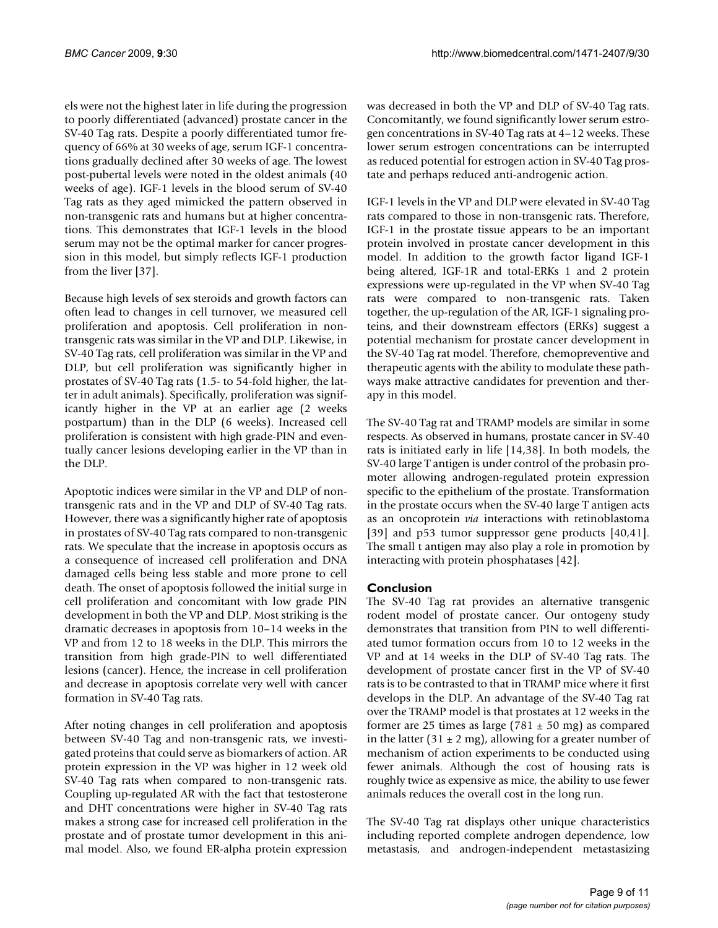els were not the highest later in life during the progression to poorly differentiated (advanced) prostate cancer in the SV-40 Tag rats. Despite a poorly differentiated tumor frequency of 66% at 30 weeks of age, serum IGF-1 concentrations gradually declined after 30 weeks of age. The lowest post-pubertal levels were noted in the oldest animals (40 weeks of age). IGF-1 levels in the blood serum of SV-40 Tag rats as they aged mimicked the pattern observed in non-transgenic rats and humans but at higher concentrations. This demonstrates that IGF-1 levels in the blood serum may not be the optimal marker for cancer progression in this model, but simply reflects IGF-1 production from the liver [37].

Because high levels of sex steroids and growth factors can often lead to changes in cell turnover, we measured cell proliferation and apoptosis. Cell proliferation in nontransgenic rats was similar in the VP and DLP. Likewise, in SV-40 Tag rats, cell proliferation was similar in the VP and DLP, but cell proliferation was significantly higher in prostates of SV-40 Tag rats (1.5- to 54-fold higher, the latter in adult animals). Specifically, proliferation was significantly higher in the VP at an earlier age (2 weeks postpartum) than in the DLP (6 weeks). Increased cell proliferation is consistent with high grade-PIN and eventually cancer lesions developing earlier in the VP than in the DLP.

Apoptotic indices were similar in the VP and DLP of nontransgenic rats and in the VP and DLP of SV-40 Tag rats. However, there was a significantly higher rate of apoptosis in prostates of SV-40 Tag rats compared to non-transgenic rats. We speculate that the increase in apoptosis occurs as a consequence of increased cell proliferation and DNA damaged cells being less stable and more prone to cell death. The onset of apoptosis followed the initial surge in cell proliferation and concomitant with low grade PIN development in both the VP and DLP. Most striking is the dramatic decreases in apoptosis from 10–14 weeks in the VP and from 12 to 18 weeks in the DLP. This mirrors the transition from high grade-PIN to well differentiated lesions (cancer). Hence, the increase in cell proliferation and decrease in apoptosis correlate very well with cancer formation in SV-40 Tag rats.

After noting changes in cell proliferation and apoptosis between SV-40 Tag and non-transgenic rats, we investigated proteins that could serve as biomarkers of action. AR protein expression in the VP was higher in 12 week old SV-40 Tag rats when compared to non-transgenic rats. Coupling up-regulated AR with the fact that testosterone and DHT concentrations were higher in SV-40 Tag rats makes a strong case for increased cell proliferation in the prostate and of prostate tumor development in this animal model. Also, we found ER-alpha protein expression

was decreased in both the VP and DLP of SV-40 Tag rats. Concomitantly, we found significantly lower serum estrogen concentrations in SV-40 Tag rats at 4–12 weeks. These lower serum estrogen concentrations can be interrupted as reduced potential for estrogen action in SV-40 Tag prostate and perhaps reduced anti-androgenic action.

IGF-1 levels in the VP and DLP were elevated in SV-40 Tag rats compared to those in non-transgenic rats. Therefore, IGF-1 in the prostate tissue appears to be an important protein involved in prostate cancer development in this model. In addition to the growth factor ligand IGF-1 being altered, IGF-1R and total-ERKs 1 and 2 protein expressions were up-regulated in the VP when SV-40 Tag rats were compared to non-transgenic rats. Taken together, the up-regulation of the AR, IGF-1 signaling proteins, and their downstream effectors (ERKs) suggest a potential mechanism for prostate cancer development in the SV-40 Tag rat model. Therefore, chemopreventive and therapeutic agents with the ability to modulate these pathways make attractive candidates for prevention and therapy in this model.

The SV-40 Tag rat and TRAMP models are similar in some respects. As observed in humans, prostate cancer in SV-40 rats is initiated early in life [14,38]. In both models, the SV-40 large T antigen is under control of the probasin promoter allowing androgen-regulated protein expression specific to the epithelium of the prostate. Transformation in the prostate occurs when the SV-40 large T antigen acts as an oncoprotein *via* interactions with retinoblastoma [39] and p53 tumor suppressor gene products [40,41]. The small t antigen may also play a role in promotion by interacting with protein phosphatases [42].

## **Conclusion**

The SV-40 Tag rat provides an alternative transgenic rodent model of prostate cancer. Our ontogeny study demonstrates that transition from PIN to well differentiated tumor formation occurs from 10 to 12 weeks in the VP and at 14 weeks in the DLP of SV-40 Tag rats. The development of prostate cancer first in the VP of SV-40 rats is to be contrasted to that in TRAMP mice where it first develops in the DLP. An advantage of the SV-40 Tag rat over the TRAMP model is that prostates at 12 weeks in the former are 25 times as large  $(781 \pm 50 \text{ mg})$  as compared in the latter  $(31 \pm 2 \text{ mg})$ , allowing for a greater number of mechanism of action experiments to be conducted using fewer animals. Although the cost of housing rats is roughly twice as expensive as mice, the ability to use fewer animals reduces the overall cost in the long run.

The SV-40 Tag rat displays other unique characteristics including reported complete androgen dependence, low metastasis, and androgen-independent metastasizing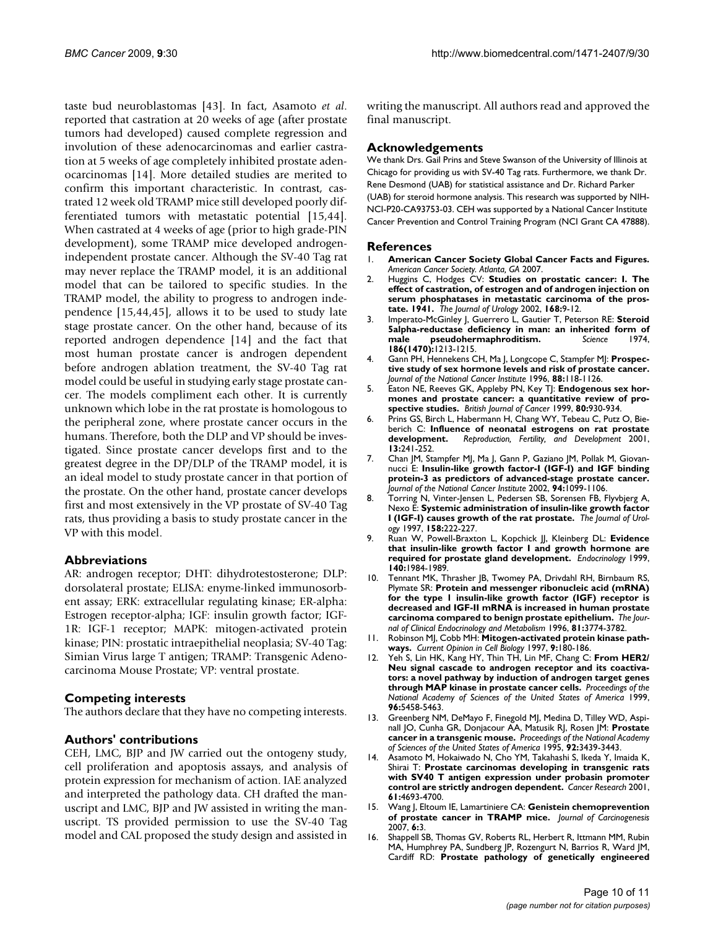taste bud neuroblastomas [43]. In fact, Asamoto *et al*. reported that castration at 20 weeks of age (after prostate tumors had developed) caused complete regression and involution of these adenocarcinomas and earlier castration at 5 weeks of age completely inhibited prostate adenocarcinomas [14]. More detailed studies are merited to confirm this important characteristic. In contrast, castrated 12 week old TRAMP mice still developed poorly differentiated tumors with metastatic potential [15,44]. When castrated at 4 weeks of age (prior to high grade-PIN development), some TRAMP mice developed androgenindependent prostate cancer. Although the SV-40 Tag rat may never replace the TRAMP model, it is an additional model that can be tailored to specific studies. In the TRAMP model, the ability to progress to androgen independence [15,44,45], allows it to be used to study late stage prostate cancer. On the other hand, because of its reported androgen dependence [14] and the fact that most human prostate cancer is androgen dependent before androgen ablation treatment, the SV-40 Tag rat model could be useful in studying early stage prostate cancer. The models compliment each other. It is currently unknown which lobe in the rat prostate is homologous to the peripheral zone, where prostate cancer occurs in the humans. Therefore, both the DLP and VP should be investigated. Since prostate cancer develops first and to the greatest degree in the DP/DLP of the TRAMP model, it is an ideal model to study prostate cancer in that portion of the prostate. On the other hand, prostate cancer develops first and most extensively in the VP prostate of SV-40 Tag rats, thus providing a basis to study prostate cancer in the VP with this model.

## **Abbreviations**

AR: androgen receptor; DHT: dihydrotestosterone; DLP: dorsolateral prostate; ELISA: enyme-linked immunosorbent assay; ERK: extracellular regulating kinase; ER-alpha: Estrogen receptor-alpha; IGF: insulin growth factor; IGF-1R: IGF-1 receptor; MAPK: mitogen-activated protein kinase; PIN: prostatic intraepithelial neoplasia; SV-40 Tag: Simian Virus large T antigen; TRAMP: Transgenic Adenocarcinoma Mouse Prostate; VP: ventral prostate.

## **Competing interests**

The authors declare that they have no competing interests.

## **Authors' contributions**

CEH, LMC, BJP and JW carried out the ontogeny study, cell proliferation and apoptosis assays, and analysis of protein expression for mechanism of action. IAE analyzed and interpreted the pathology data. CH drafted the manuscript and LMC, BJP and JW assisted in writing the manuscript. TS provided permission to use the SV-40 Tag model and CAL proposed the study design and assisted in writing the manuscript. All authors read and approved the final manuscript.

#### **Acknowledgements**

We thank Drs. Gail Prins and Steve Swanson of the University of Illinois at Chicago for providing us with SV-40 Tag rats. Furthermore, we thank Dr. Rene Desmond (UAB) for statistical assistance and Dr. Richard Parker (UAB) for steroid hormone analysis. This research was supported by NIH-NCI-P20-CA93753-03. CEH was supported by a National Cancer Institute Cancer Prevention and Control Training Program (NCI Grant CA 47888).

#### **References**

- 1. **American Cancer Society Global Cancer Facts and Figures.** *American Cancer Society. Atlanta, GA* 2007.
- 2. Huggins C, Hodges CV: **[Studies on prostatic cancer: I. The](http://www.ncbi.nlm.nih.gov/entrez/query.fcgi?cmd=Retrieve&db=PubMed&dopt=Abstract&list_uids=12050481) [effect of castration, of estrogen and of androgen injection on](http://www.ncbi.nlm.nih.gov/entrez/query.fcgi?cmd=Retrieve&db=PubMed&dopt=Abstract&list_uids=12050481) serum phosphatases in metastatic carcinoma of the pros[tate. 1941.](http://www.ncbi.nlm.nih.gov/entrez/query.fcgi?cmd=Retrieve&db=PubMed&dopt=Abstract&list_uids=12050481)** *The Journal of Urology* 2002, **168:**9-12.
- 3. Imperato-McGinley J, Guerrero L, Gautier T, Peterson RE: [Steroid](http://www.ncbi.nlm.nih.gov/entrez/query.fcgi?cmd=Retrieve&db=PubMed&dopt=Abstract&list_uids=4432067) **[5alpha-reductase deficiency in man: an inherited form of](http://www.ncbi.nlm.nih.gov/entrez/query.fcgi?cmd=Retrieve&db=PubMed&dopt=Abstract&list_uids=4432067)** [male pseudohermaphroditism.](http://www.ncbi.nlm.nih.gov/entrez/query.fcgi?cmd=Retrieve&db=PubMed&dopt=Abstract&list_uids=4432067) **186(1470):**1213-1215.
- 4. Gann PH, Hennekens CH, Ma J, Longcope C, Stampfer MJ: **Prospective study of sex hormone levels and risk of prostate cancer.** *Journal of the National Cancer Institute* 1996, **88:**118-1126.
- 5. Eaton NE, Reeves GK, Appleby PN, Key TJ: **[Endogenous sex hor](http://www.ncbi.nlm.nih.gov/entrez/query.fcgi?cmd=Retrieve&db=PubMed&dopt=Abstract&list_uids=10362098)[mones and prostate cancer: a quantitative review of pro](http://www.ncbi.nlm.nih.gov/entrez/query.fcgi?cmd=Retrieve&db=PubMed&dopt=Abstract&list_uids=10362098)[spective studies.](http://www.ncbi.nlm.nih.gov/entrez/query.fcgi?cmd=Retrieve&db=PubMed&dopt=Abstract&list_uids=10362098)** *British Journal of Cancer* 1999, **80:**930-934.
- Prins GS, Birch L, Habermann H, Chang WY, Tebeau C, Putz O, Bieberich C: **[Influence of neonatal estrogens on rat prostate](http://www.ncbi.nlm.nih.gov/entrez/query.fcgi?cmd=Retrieve&db=PubMed&dopt=Abstract&list_uids=11800163) [development.](http://www.ncbi.nlm.nih.gov/entrez/query.fcgi?cmd=Retrieve&db=PubMed&dopt=Abstract&list_uids=11800163)** *Reproduction, Fertility, and Development* 2001, **13:**241-252.
- 7. Chan JM, Stampfer MJ, Ma J, Gann P, Gaziano JM, Pollak M, Giovannucci E: **[Insulin-like growth factor-I \(IGF-I\) and IGF binding](http://www.ncbi.nlm.nih.gov/entrez/query.fcgi?cmd=Retrieve&db=PubMed&dopt=Abstract&list_uids=12122101) [protein-3 as predictors of advanced-stage prostate cancer.](http://www.ncbi.nlm.nih.gov/entrez/query.fcgi?cmd=Retrieve&db=PubMed&dopt=Abstract&list_uids=12122101)** *Journal of the National Cancer Institute* 2002, **94:**1099-1106.
- 8. Torring N, Vinter-Jensen L, Pedersen SB, Sorensen FB, Flyvbjerg A, Nexo E: **[Systemic administration of insulin-like growth factor](http://www.ncbi.nlm.nih.gov/entrez/query.fcgi?cmd=Retrieve&db=PubMed&dopt=Abstract&list_uids=9186364) [I \(IGF-I\) causes growth of the rat prostate.](http://www.ncbi.nlm.nih.gov/entrez/query.fcgi?cmd=Retrieve&db=PubMed&dopt=Abstract&list_uids=9186364)** *The Journal of Urology* 1997, **158:**222-227.
- 9. Ruan W, Powell-Braxton L, Kopchick JJ, Kleinberg DL: **[Evidence](http://www.ncbi.nlm.nih.gov/entrez/query.fcgi?cmd=Retrieve&db=PubMed&dopt=Abstract&list_uids=10218945) [that insulin-like growth factor I and growth hormone are](http://www.ncbi.nlm.nih.gov/entrez/query.fcgi?cmd=Retrieve&db=PubMed&dopt=Abstract&list_uids=10218945) [required for prostate gland development.](http://www.ncbi.nlm.nih.gov/entrez/query.fcgi?cmd=Retrieve&db=PubMed&dopt=Abstract&list_uids=10218945)** *Endocrinology* 1999, **140:**1984-1989.
- 10. Tennant MK, Thrasher JB, Twomey PA, Drivdahl RH, Birnbaum RS, Plymate SR: **Protein and messenger ribonucleic acid (mRNA) for the type 1 insulin-like growth factor (IGF) receptor is decreased and IGF-II mRNA is increased in human prostate carcinoma compared to benign prostate epithelium.** *The Journal of Clinical Endocrinology and Metabolism* 1996, **81:**3774-3782.
- 11. Robinson MJ, Cobb MH: **[Mitogen-activated protein kinase path](http://www.ncbi.nlm.nih.gov/entrez/query.fcgi?cmd=Retrieve&db=PubMed&dopt=Abstract&list_uids=9069255)[ways.](http://www.ncbi.nlm.nih.gov/entrez/query.fcgi?cmd=Retrieve&db=PubMed&dopt=Abstract&list_uids=9069255)** *Current Opinion in Cell Biology* 1997, **9:**180-186.
- 12. Yeh S, Lin HK, Kang HY, Thin TH, Lin MF, Chang C: **[From HER2/](http://www.ncbi.nlm.nih.gov/entrez/query.fcgi?cmd=Retrieve&db=PubMed&dopt=Abstract&list_uids=10318905) [Neu signal cascade to androgen receptor and its coactiva](http://www.ncbi.nlm.nih.gov/entrez/query.fcgi?cmd=Retrieve&db=PubMed&dopt=Abstract&list_uids=10318905)tors: a novel pathway by induction of androgen target genes [through MAP kinase in prostate cancer cells.](http://www.ncbi.nlm.nih.gov/entrez/query.fcgi?cmd=Retrieve&db=PubMed&dopt=Abstract&list_uids=10318905)** *Proceedings of the National Academy of Sciences of the United States of America* 1999, **96:**5458-5463.
- 13. Greenberg NM, DeMayo F, Finegold MJ, Medina D, Tilley WD, Aspinall JO, Cunha GR, Donjacour AA, Matusik RJ, Rosen JM: **[Prostate](http://www.ncbi.nlm.nih.gov/entrez/query.fcgi?cmd=Retrieve&db=PubMed&dopt=Abstract&list_uids=7724580) [cancer in a transgenic mouse.](http://www.ncbi.nlm.nih.gov/entrez/query.fcgi?cmd=Retrieve&db=PubMed&dopt=Abstract&list_uids=7724580)** *Proceedings of the National Academy of Sciences of the United States of America* 1995, **92:**3439-3443.
- 14. Asamoto M, Hokaiwado N, Cho YM, Takahashi S, Ikeda Y, Imaida K, Shirai T: **[Prostate carcinomas developing in transgenic rats](http://www.ncbi.nlm.nih.gov/entrez/query.fcgi?cmd=Retrieve&db=PubMed&dopt=Abstract&list_uids=11406539) [with SV40 T antigen expression under probasin promoter](http://www.ncbi.nlm.nih.gov/entrez/query.fcgi?cmd=Retrieve&db=PubMed&dopt=Abstract&list_uids=11406539) [control are strictly androgen dependent.](http://www.ncbi.nlm.nih.gov/entrez/query.fcgi?cmd=Retrieve&db=PubMed&dopt=Abstract&list_uids=11406539)** *Cancer Research* 2001, **61:**4693-4700.
- 15. Wang J, Eltoum IE, Lamartiniere CA: [Genistein chemoprevention](http://www.ncbi.nlm.nih.gov/entrez/query.fcgi?cmd=Retrieve&db=PubMed&dopt=Abstract&list_uids=17367528) **[of prostate cancer in TRAMP mice.](http://www.ncbi.nlm.nih.gov/entrez/query.fcgi?cmd=Retrieve&db=PubMed&dopt=Abstract&list_uids=17367528)** *Journal of Carcinogenesis* 2007, **6:**3.
- 16. Shappell SB, Thomas GV, Roberts RL, Herbert R, Ittmann MM, Rubin MA, Humphrey PA, Sundberg JP, Rozengurt N, Barrios R, Ward JM, Cardiff RD: **[Prostate pathology of genetically engineered](http://www.ncbi.nlm.nih.gov/entrez/query.fcgi?cmd=Retrieve&db=PubMed&dopt=Abstract&list_uids=15026373)**